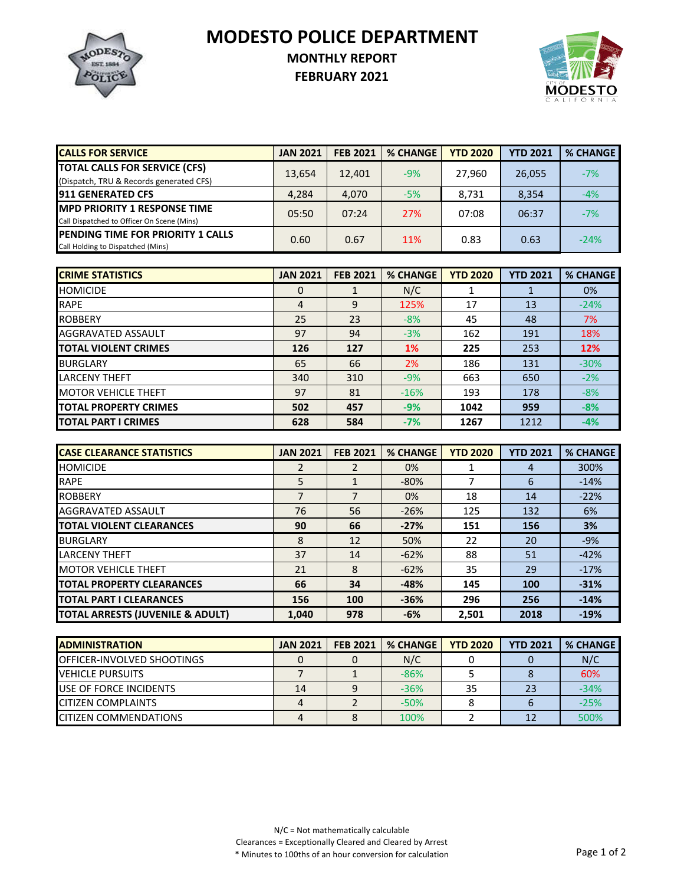**MODESTO POLICE DEPARTMENT**



## **MONTHLY REPORT**

**FEBRUARY 2021**



| <b>CALLS FOR SERVICE</b>                                                           | <b>JAN 2021</b> | <b>FEB 2021</b> | <b>% CHANGE</b> | <b>YTD 2020</b> | <b>YTD 2021</b> | <b>% CHANGE</b> |
|------------------------------------------------------------------------------------|-----------------|-----------------|-----------------|-----------------|-----------------|-----------------|
| <b>TOTAL CALLS FOR SERVICE (CFS)</b><br>(Dispatch, TRU & Records generated CFS)    | 13,654          | 12,401          | $-9%$           | 27.960          | 26,055          | $-7%$           |
| <b>1911 GENERATED CFS</b>                                                          | 4,284           | 4,070           | $-5%$           | 8,731           | 8,354           | $-4%$           |
| <b>IMPD PRIORITY 1 RESPONSE TIME</b><br>Call Dispatched to Officer On Scene (Mins) | 05:50           | 07:24           | 27%             | 07:08           | 06:37           | $-7%$           |
| <b>IPENDING TIME FOR PRIORITY 1 CALLS</b><br>Call Holding to Dispatched (Mins)     | 0.60            | 0.67            | 11%             | 0.83            | 0.63            | $-24%$          |

| <b>CRIME STATISTICS</b>      | <b>JAN 2021</b> | <b>FEB 2021</b> | <b>% CHANGE</b> | <b>YTD 2020</b> | <b>YTD 2021</b> | <b>% CHANGE</b> |
|------------------------------|-----------------|-----------------|-----------------|-----------------|-----------------|-----------------|
| <b>HOMICIDE</b>              | 0               |                 | N/C             |                 |                 | 0%              |
| <b>RAPE</b>                  | 4               | 9               | 125%            | 17              | 13              | $-24%$          |
| <b>ROBBERY</b>               | 25              | 23              | $-8%$           | 45              | 48              | 7%              |
| AGGRAVATED ASSAULT           | 97              | 94              | $-3%$           | 162             | 191             | 18%             |
| <b>TOTAL VIOLENT CRIMES</b>  | 126             | 127             | 1%              | 225             | 253             | 12%             |
| <b>BURGLARY</b>              | 65              | 66              | 2%              | 186             | 131             | $-30%$          |
| <b>LARCENY THEFT</b>         | 340             | 310             | $-9%$           | 663             | 650             | $-2%$           |
| <b>MOTOR VEHICLE THEFT</b>   | 97              | 81              | $-16%$          | 193             | 178             | $-8%$           |
| <b>TOTAL PROPERTY CRIMES</b> | 502             | 457             | $-9%$           | 1042            | 959             | $-8%$           |
| <b>TOTAL PART I CRIMES</b>   | 628             | 584             | $-7%$           | 1267            | 1212            | $-4%$           |

| <b>CASE CLEARANCE STATISTICS</b>            | <b>JAN 2021</b> | <b>FEB 2021</b> | <b>% CHANGE</b> | <b>YTD 2020</b> | <b>YTD 2021</b> | % CHANGE |
|---------------------------------------------|-----------------|-----------------|-----------------|-----------------|-----------------|----------|
| <b>HOMICIDE</b>                             | 2               |                 | 0%              |                 | 4               | 300%     |
| <b>RAPE</b>                                 | 5               |                 | $-80%$          |                 | 6               | $-14%$   |
| <b>ROBBERY</b>                              | 7               |                 | 0%              | 18              | 14              | $-22%$   |
| AGGRAVATED ASSAULT                          | 76              | 56              | $-26%$          | 125             | 132             | 6%       |
| <b>TOTAL VIOLENT CLEARANCES</b>             | 90              | 66              | $-27%$          | 151             | 156             | 3%       |
| <b>BURGLARY</b>                             | 8               | 12              | 50%             | 22              | 20              | $-9%$    |
| <b>LARCENY THEFT</b>                        | 37              | 14              | $-62%$          | 88              | 51              | $-42%$   |
| <b>MOTOR VEHICLE THEFT</b>                  | 21              | 8               | $-62%$          | 35              | 29              | $-17%$   |
| <b>TOTAL PROPERTY CLEARANCES</b>            | 66              | 34              | $-48%$          | 145             | 100             | $-31%$   |
| <b>TOTAL PART I CLEARANCES</b>              | 156             | 100             | $-36%$          | 296             | 256             | $-14%$   |
| <b>TOTAL ARRESTS (JUVENILE &amp; ADULT)</b> | 1.040           | 978             | $-6%$           | 2.501           | 2018            | $-19%$   |

| <b>IADMINISTRATION</b>             | <b>JAN 2021</b> | <b>FEB 2021</b> | <b>% CHANGE</b> | <b>YTD 2020</b> | <b>YTD 2021</b> | <b>% CHANGE</b> |
|------------------------------------|-----------------|-----------------|-----------------|-----------------|-----------------|-----------------|
| <b>IOFFICER-INVOLVED SHOOTINGS</b> |                 |                 | N/C             |                 |                 | N/C             |
| <b>IVEHICLE PURSUITS</b>           |                 |                 | $-86%$          |                 |                 | 60%             |
| <b>IUSE OF FORCE INCIDENTS</b>     | 14              |                 | $-36%$          | 35              |                 | $-34%$          |
| <b>CITIZEN COMPLAINTS</b>          |                 |                 | $-50%$          |                 |                 | $-25%$          |
| <b>ICITIZEN COMMENDATIONS</b>      |                 |                 | 100%            |                 |                 | 500%            |